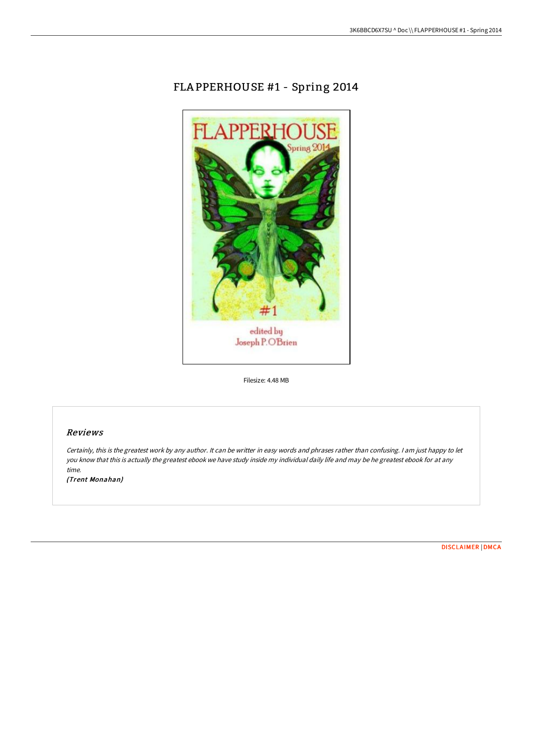## FLA PPERHOUSE #1 - Spring 2014



Filesize: 4.48 MB

## Reviews

Certainly, this is the greatest work by any author. It can be writter in easy words and phrases rather than confusing. <sup>I</sup> am just happy to let you know that this is actually the greatest ebook we have study inside my individual daily life and may be he greatest ebook for at any time.

(Trent Monahan)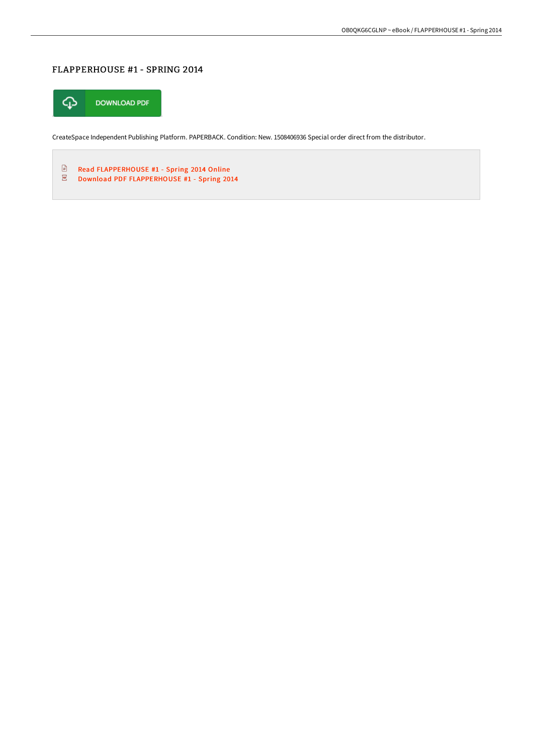## FLAPPERHOUSE #1 - SPRING 2014



CreateSpace Independent Publishing Platform. PAPERBACK. Condition: New. 1508406936 Special order direct from the distributor.

 $\mathbf{E}$ Read [FLAPPERHOUSE](http://techno-pub.tech/flapperhouse-1-spring-2014.html) #1 - Spring 2014 Online  $\overline{\underline{\mathrm{pos}}}$ Download PDF [FLAPPERHOUSE](http://techno-pub.tech/flapperhouse-1-spring-2014.html) #1 - Spring 2014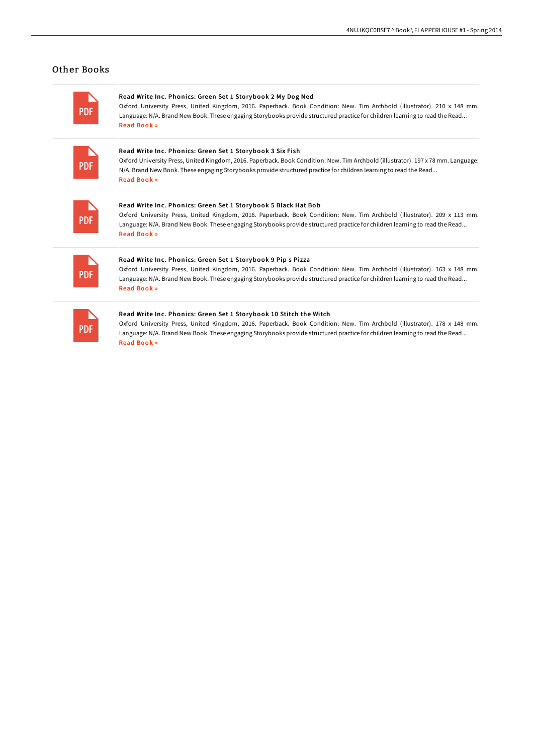## Other Books

ò.

| <b>PDF</b> | Read Write Inc. Phonics: Green Set 1 Storybook 2 My Dog Ned<br>Oxford University Press, United Kingdom, 2016. Paperback. Book Condition: New. Tim Archbold (illustrator). 210 x 148 mm.<br>Language: N/A. Brand New Book. These engaging Storybooks provide structured practice for children learning to read the Read<br><b>Read Book »</b>        |
|------------|-----------------------------------------------------------------------------------------------------------------------------------------------------------------------------------------------------------------------------------------------------------------------------------------------------------------------------------------------------|
| <b>PDF</b> | Read Write Inc. Phonics: Green Set 1 Storybook 3 Six Fish<br>Oxford University Press, United Kingdom, 2016. Paperback. Book Condition: New. Tim Archbold (illustrator). 197 x 78 mm. Language:<br>N/A. Brand New Book. These engaging Storybooks provide structured practice for children learning to read the Read<br>Read Book »                  |
| <b>PDF</b> | Read Write Inc. Phonics: Green Set 1 Storybook 5 Black Hat Bob<br>Oxford University Press, United Kingdom, 2016. Paperback. Book Condition: New. Tim Archbold (illustrator). 209 x 113 mm.<br>Language: N/A. Brand New Book. These engaging Storybooks provide structured practice for children learning to read the Read<br><b>Read Book »</b>     |
| <b>PDF</b> | Read Write Inc. Phonics: Green Set 1 Storybook 9 Pip s Pizza<br>Oxford University Press, United Kingdom, 2016. Paperback. Book Condition: New. Tim Archbold (illustrator). 163 x 148 mm.<br>Language: N/A. Brand New Book. These engaging Storybooks provide structured practice for children learning to read the Read<br>Read Book »              |
| <b>PDF</b> | Read Write Inc. Phonics: Green Set 1 Storybook 10 Stitch the Witch<br>Oxford University Press, United Kingdom, 2016. Paperback. Book Condition: New. Tim Archbold (illustrator). 178 x 148 mm.<br>Language: N/A. Brand New Book. These engaging Storybooks provide structured practice for children learning to read the Read<br><b>Read Book »</b> |